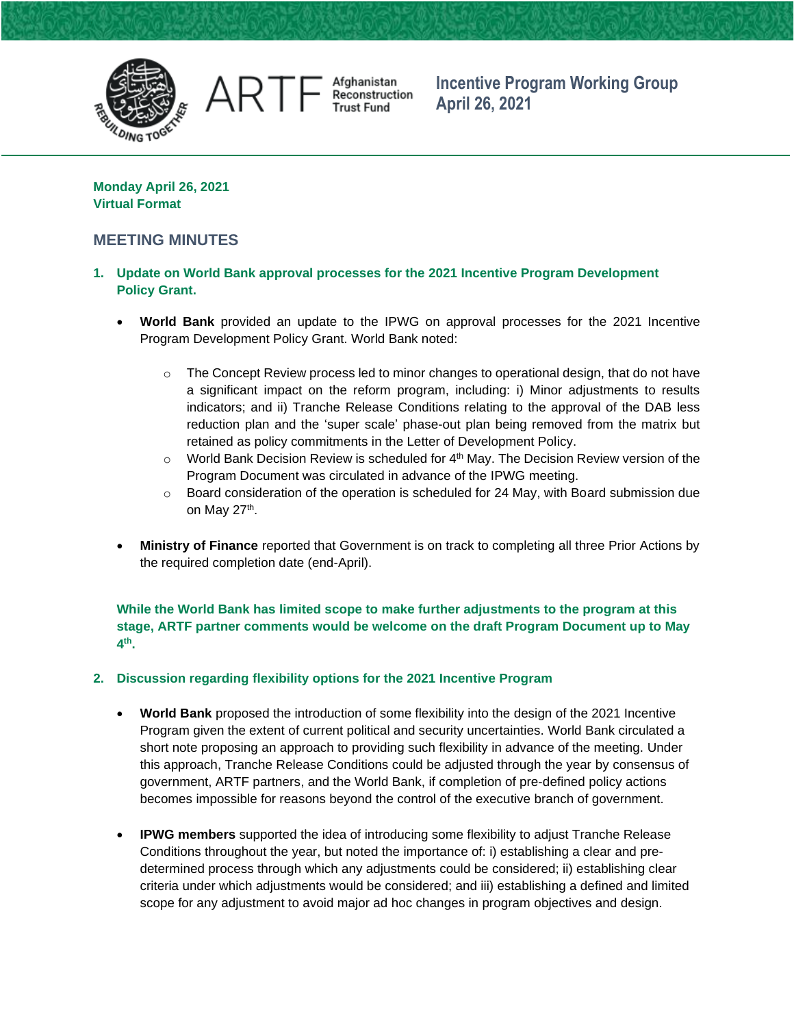

Afghanistan<br>Reconstruction **Trust Fund** 

**Incentive Program Working Group April 26, 2021**

**Monday April 26, 2021 Virtual Format**

AR T

## **MEETING MINUTES**

- **1. Update on World Bank approval processes for the 2021 Incentive Program Development Policy Grant.**
	- **World Bank** provided an update to the IPWG on approval processes for the 2021 Incentive Program Development Policy Grant. World Bank noted:
		- $\circ$  The Concept Review process led to minor changes to operational design, that do not have a significant impact on the reform program, including: i) Minor adjustments to results indicators; and ii) Tranche Release Conditions relating to the approval of the DAB less reduction plan and the 'super scale' phase-out plan being removed from the matrix but retained as policy commitments in the Letter of Development Policy.
		- $\circ$  World Bank Decision Review is scheduled for  $4<sup>th</sup>$  May. The Decision Review version of the Program Document was circulated in advance of the IPWG meeting.
		- $\circ$  Board consideration of the operation is scheduled for 24 May, with Board submission due on May 27<sup>th</sup>.
	- **Ministry of Finance** reported that Government is on track to completing all three Prior Actions by the required completion date (end-April).

**While the World Bank has limited scope to make further adjustments to the program at this stage, ARTF partner comments would be welcome on the draft Program Document up to May 4 th .** 

## **2. Discussion regarding flexibility options for the 2021 Incentive Program**

- **World Bank** proposed the introduction of some flexibility into the design of the 2021 Incentive Program given the extent of current political and security uncertainties. World Bank circulated a short note proposing an approach to providing such flexibility in advance of the meeting. Under this approach, Tranche Release Conditions could be adjusted through the year by consensus of government, ARTF partners, and the World Bank, if completion of pre-defined policy actions becomes impossible for reasons beyond the control of the executive branch of government.
- **IPWG members** supported the idea of introducing some flexibility to adjust Tranche Release Conditions throughout the year, but noted the importance of: i) establishing a clear and predetermined process through which any adjustments could be considered; ii) establishing clear criteria under which adjustments would be considered; and iii) establishing a defined and limited scope for any adjustment to avoid major ad hoc changes in program objectives and design.